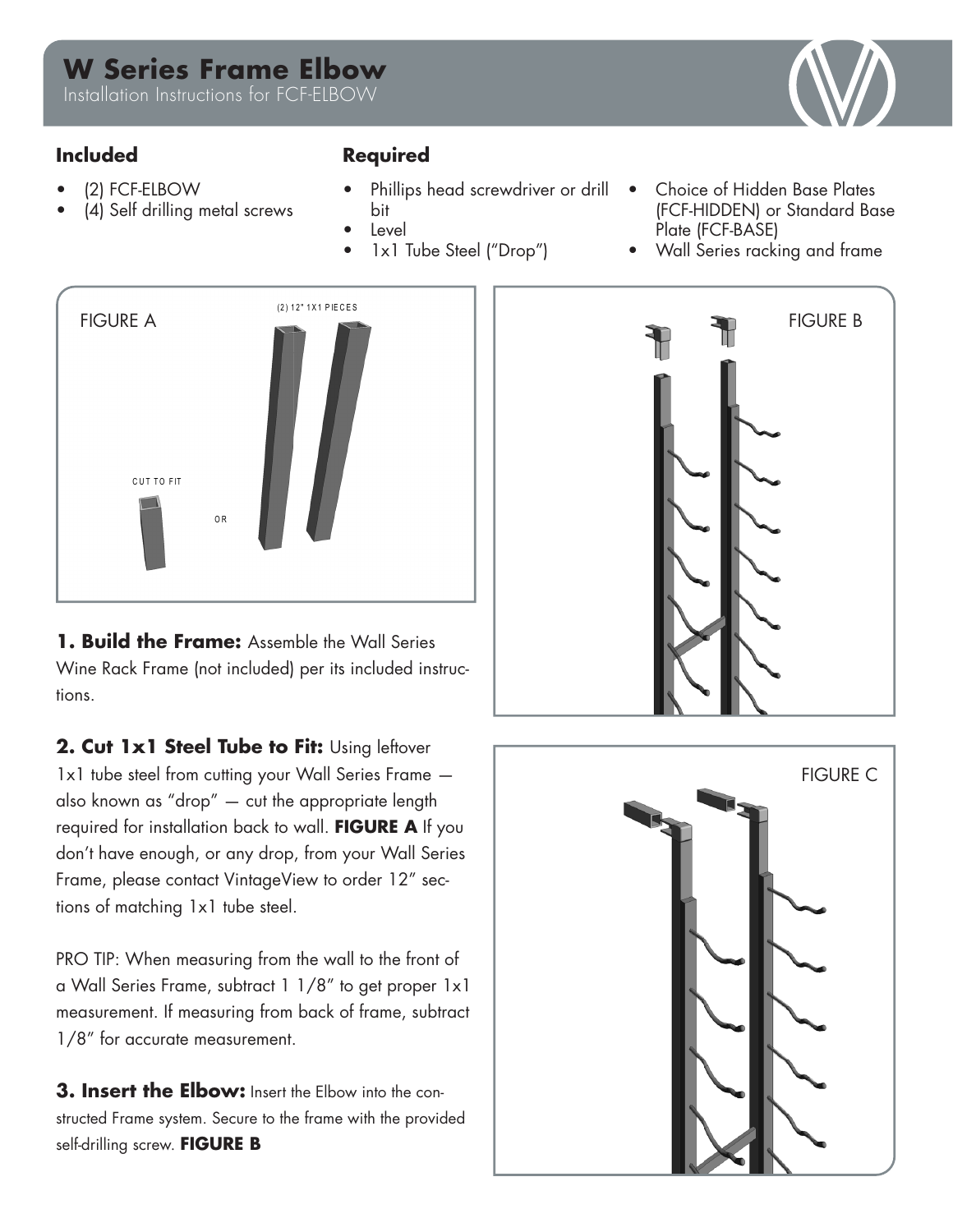# **W Series Frame Elbow**

Installation Instructions for FCF-ELBOW

## **Included Required**

- (2) FCF-ELBOW
- (4) Self drilling metal screws

- Phillips head screwdriver or drill bit
- **Level**
- 1x1 Tube Steel ("Drop")
- Choice of Hidden Base Plates (FCF-HIDDEN) or Standard Base Plate (FCF-BASE)
- Wall Series racking and frame



**1. Build the Frame:** Assemble the Wall Series Wine Rack Frame (not included) per its included instructions.

2. Cut 1x1 Steel Tube to Fit: Using leftover 1x1 tube steel from cutting your Wall Series Frame also known as "drop" — cut the appropriate length required for installation back to wall. **FIGURE A** If you don't have enough, or any drop, from your Wall Series Frame, please contact VintageView to order 12" sections of matching 1x1 tube steel.

PRO TIP: When measuring from the wall to the front of a Wall Series Frame, subtract 1 1/8" to get proper 1x1 measurement. If measuring from back of frame, subtract 1/8" for accurate measurement.

**3. Insert the Elbow:** Insert the Elbow into the constructed Frame system. Secure to the frame with the provided self-drilling screw. **FIGURE B**